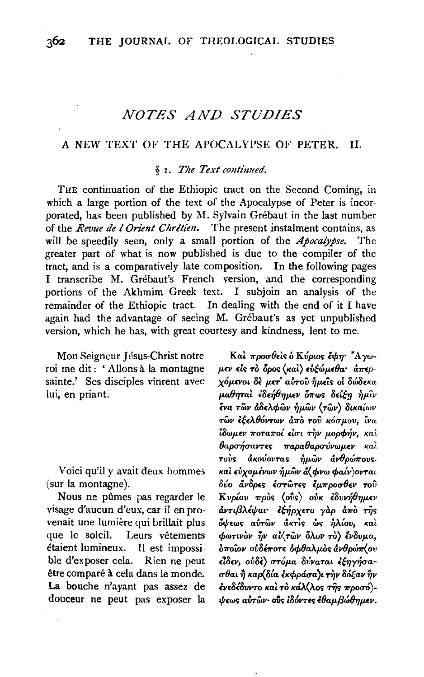# NOTES AND STUDIES

#### A NEW TEXT OF THE APOCALYPSE OF PETER.  $\mathbf{H}$

#### § 1. The Text continued.

THE continuation of the Ethiopic tract on the Second Coming, in which a large portion of the text of the Apocalypse of Peter is incorporated, has been published by M. Sylvain Grébaut in the last number of the *Revue de l Orient Chrétien*. The present instalment contains, as will be speedily seen, only a small portion of the  $A$ pocalypse.  $The$ greater part of what is now published is due to the compiler of the tract, and is a comparatively late composition. In the following pages I transcribe M. Grébaut's French version, and the corresponding portions of the Akhmim Greek text. I subjoin an analysis of the remainder of the Ethiopic tract. In dealing with the end of it I have again had the advantage of seeing M. Grébaut's as yet unpublished version, which he has, with great courtesy and kindness, lent to me.

Mon Seigneur Jésus-Christ notre roi me dit: 'Allons à la montagne sainte.' Ses disciples vinrent avec lui, en priant.

Voici qu'il y avait deux hommes (sur la montagne).

Nous ne pûmes pas regarder le visage d'aucun d'eux, car il en provenait une lumière qui brillait plus que le soleil. Leurs vêtements étaient lumineux. Il est impossible d'exposer cela. Rien ne peut être comparé à cela dans le monde. La bouche n'ayant pas assez de douceur ne peut pas exposer la

Και προσθεις ο Κύριος έφη· "Αγωμεν είς το όρος (και) ευξώμεθα· άπερχόμενοι δε μετ' αύτου ήμεις οι δώδεκα μαθηταί έδεήθημεν όπως δείξη ήμιν .<br>ένα τῶν ἀδελφῶν ήμῶν (τῶν) δικαίων τῶν ἐξελθόντων ἀπὸ τοῦ κόσμου, ἶνα ίδωμεν ποταποί είσι την μορφήν, και θαρσήσαντες παραθαρσύνωμεν και τούς ακούοντας ήμων ανθρώπους. καὶ εὐχομένων ἡμῶν ἄζφνω φαίν)ονται δύο άνδρες έστῶτες ἔμπροσθεν τοῦ Κυρίου πρός (οΰς) οὐκ ἐδυνήθημεν άντιβλέψαι εξήρχετο γαρ απο της δψεως αυτών άκτις ως ήλίου, και φωτινὸν ἦν αὐ (τῶν ὅλον τὸ) ἔνδυμα, δποίον ούδέποτε όφθαλμος άνθρώπζου είδεν, ούδε) στόμα δύναται εξηγήσασθαι ή καρ δία εκφράσα)ι την δόξαν ήν ένεδέδυντο και το κάλ λος της προσό)ψεως αυτών· οΰς ιδόντες εθαμβώθημεν.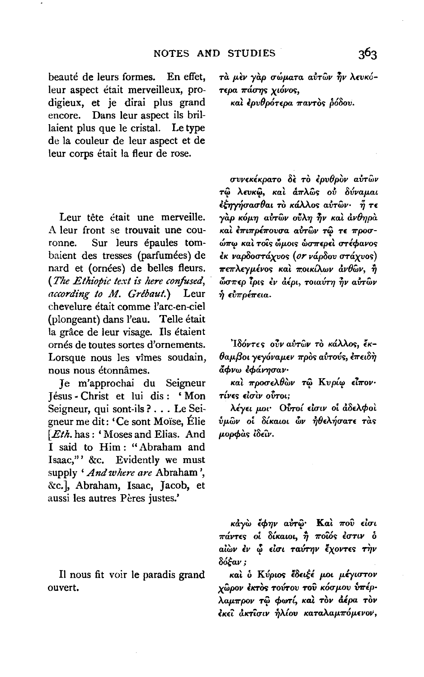beaute de leurs formes. En effet, leur aspect était merveilleux, prodigieux, et je dirai plus grand encore. Dans leur aspect ils brillaient plus que le crista!. Le type de la couleur de leur aspect et de leur corps était la fleur de rose.

Leur tête était une merveille. A leur front se trouvait une couronne. Sur leurs épaules tombaient des tresses (parfumées) de nard et (ornées) de belles fleurs. *(The Ethiopic text i's here confused, according to M. Grlbaut.)* Leur chevelure etait comme l'arc-en-ciel (plongeant) dans l'eau. Telle était la grâce de leur visage. Ils étaient ornes de toutes sortes d'ornements. Lorsque nous les vimes soudain, nous nous étonnâmes.

Je m'approchai du Seigneur Jesus • Christ et lui dis : ' M on Seigneur, qui sont-ils? ... Le Seigneur me dit: 'Ce sont Moïse, Élie [Eth. has: 'Moses and Elias. And I said to Him : "Abraham and Isaac,"' &c. Evidently we must supply' *And where are* Abraham ', &c.], Abraham, Isaac, Jacob, et aussi les autres Peres justes.'

Tà μεν γάρ σώματα αύτων ήν λευκό*τερα πάσης χιόνος,* 

*Kal £pv8p6npa* 1raVTo~ *p6'8ov.* 

*CTVV£K€KpaTo '8£* To *£pv8pov avTwv*  T~ AWK~, *Kal* a7rAW~ OV *'Bvvap.at €ξηγήσασθαι τὸ κάλλος αὐτῶν• γ̃ τ€*  $\gamma$ àρ κόμη αύτὣν ούλη ήν και ανθηρα *και έπιπρέπουσα αύτων τω τε προσ-* $\omega$ πω και τοίς όμοις **ώσπερεί στέφανος**  $\epsilon$ *κ ναρδοστάχυος (οr νάρδου στάχυος) πεπλεγμένος και ποικίλων ανθών*, ή <sup>~</sup>.,. , s' ' .,. ll ... *WCT7r€p* tpt~ *£V a£pt, TotUVT'f} YJV aVTWV*   $\boldsymbol{\dot{\eta}}$  εὐπρέπεια.

'Ιδόντες οὖν αὐτῶν τὸ κάλλος, ἔκ- $\theta$ aμβοι γεγόναμεν πρός αύτούς, έπειδη *d.cpvw £cp&.V7Juav·* 

*κ*αὶ προσελθὼν τῶ Κυρίω εἶπον· TtV£~ *€tCTtV OVTOt;* 

 $\lambda$ έγει μοι· Ούτοί είσιν οί άδελφοί *vµ*ῶν οἱ δίκαιοι ὧν ἠθελήσατε τὰς μορφας ιδείν.

*Kάγ*ω έφην αύτω **Κα**ί που είσι 7rtlVT€~ o~ *O{Kator.,* ~ -rrow~ *€CTTtV* o ,, , ... ' , Jt ' *UtWV €V 'f! €tCTL TaVT'f}V* £XOVT£~ *T'YJV*   $\delta$ ó $\mathcal{E}$ av :

Il nous fit voir le paradis grand *και* ο Κύριος έδειξέ μοι μέγιστον Ouvert. *xωρον εκτός τούτου του κόσμου υπέρ-* $\lambda$ *αμπρον τ*ω φωτί, και τον άέρα τον  $\epsilon$ κεί ακτίσιν ήλίου καταλαμπόμενον.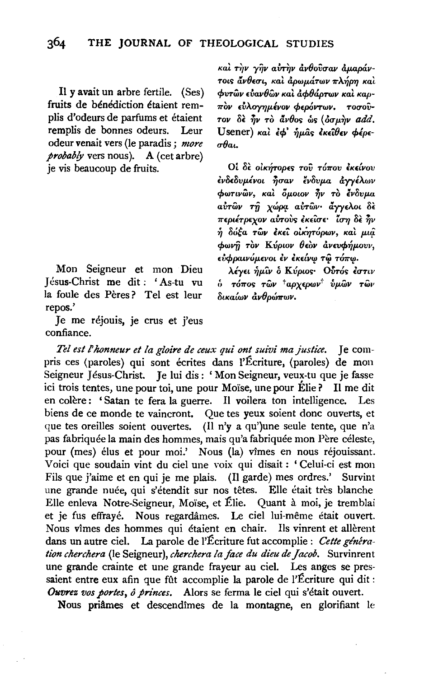Il y avait un arbre fertile. (Ses) fruits de bénédiction étaient remplis d'odeurs de parfums et étaient remplis de bonnes odeurs. Leur odeur venait vers (le paradis; more *probably* vers nous). A (cet arbre) je vis beaucoup de fruits.

Mon Seigneur et mon Dieu Jésus-Christ me dit: 'As-tu vu la foule des Pères? Tel est leur repos.'

Je me réjouis, je crus et j'eus confiance.

και την γην αύτην ανθούσαν αμαράντοις άνθεσι, και αρωμάτων πλήρη και φυτών εύανθών και αφθάρτων και καρπον εύλογημένον φερόντων. τοσούτον δε ήν το άνθος ως (όσμην add. Usener) και έφ' ήμας εκείθεν φέρε- $\sigma \theta$ at

Οί δε οικήτορες του τόπου εκείνου ένδεδυμένοι ήσαν ένδυμα άγγέλων φωτινών, και δμοιον ήν το ένδυμα αύτων τη χώρα αύτων άγγελοι δε περιέτρεχον αύτους έκεισε άση δε ήν ή δόξα των έκει οικητόρων, και μι $\hat{a}$ φωνή τον Κύριον θεόν ανευφήμουν, εύφραινόμενοι έν εκείνω τω τόπω.

λέγει ήμιν ο Κύριος· Ούτός έστιν ό τόπος τῶν <sup>†</sup>αρχερων<sup>†</sup> ὑμῶν τῶν δικαίων ἀνθρώπων.

Tel est l'honneur et la gloire de ceux qui ont suivi ma justice. Je compris ces (paroles) qui sont écrites dans l'Écriture, (paroles) de mon Seigneur Jésus-Christ. Je lui dis : 'Mon Seigneur, veux-tu que je fasse ici trois tentes, une pour toi, une pour Moïse, une pour Élie? Il me dit en colère: 'Satan te fera la guerre. Il voilera ton intelligence. Les biens de ce monde te vaincront. Que tes yeux soient donc ouverts, et (Il n'y a qu')une seule tente, que n'a que tes oreilles soient ouvertes. pas fabriquée la main des hommes, mais qu'a fabriquée mon Père céleste, pour (mes) élus et pour moi.' Nous (la) vîmes en nous réjouissant. Voici que soudain vint du ciel une voix qui disait : 'Celui-ci est mon Fils que j'aime et en qui je me plais. (Il garde) mes ordres.' Survint une grande nuée, qui s'étendit sur nos têtes. Elle était très blanche Elle enleva Notre-Seigneur, Moïse, et Élie. Quant à moi, je tremblai et je fus effrayé. Nous regardâmes. Le ciel lui-même était ouvert. Nous vîmes des hommes qui étaient en chair. Ils vinrent et allèrent dans un autre ciel. La parole de l'Écriture fut accomplie : Cette génération cherchera (le Seigneur), cherchera la face du dieu de Jacob. Survinrent une grande crainte et une grande frayeur au ciel. Les anges se pressaient entre eux afin que fût accomplie la parole de l'Écriture qui dit : Ouvrez vos portes, ô princes. Alors se ferma le ciel qui s'était ouvert.

Nous priâmes et descendimes de la montagne, en glorifiant le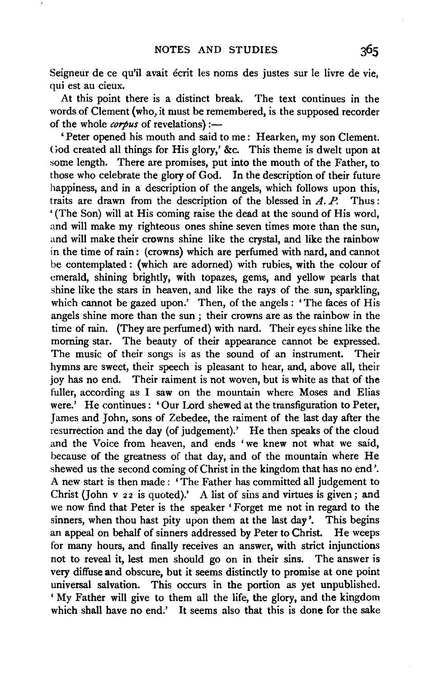Seigneur de ce qu'il avait écrit les noms des justes sur le livre de vie. qui est au cieux.

At this point there is a distinct break. The text continues in the words of Clement (who, it must be remembered, is the supposed recorder of the whole *corpus* of revelations) :-

'Peter opened his mouth and said to me: Hearken, my son Clement. God created all things for His glory,' &c. This theme is dwelt upon at some length. There are promises, put into the mouth of the Father, to those who celebrate the glory of God. In the description of their future happiness, and in a description of the angels, which follows upon this, traits are drawn from the description of the blessed in  $A, P$ . Thus: '(The Son) will at His coming raise the dead at the sound of His word, and will make my righteous ones shine seven times more than the sun, and will make their crowns shine like the crystal, and like the rainbow in the time of rain: (crowns) which are perfumed with nard, and cannot be contemplated: (which are adorned) with rubies, with the colour of emerald, shining brightly, with topazes, gems, and yellow pearls that shine like the stars in heaven, and like the rays of the sun, sparkling, which cannot be gazed upon.' Then, of the angels : 'The faces of His angels shine more than the sun ; their crowns are as the rainbow in the time of rain. (They are perfumed) with nard. Their eyes shine like the morning star. The beauty of their appearance cannot be expressed. The music of their songs is as the sound of an instrument. Their hymns are sweet, their speech is pleasant to hear, and, above all, their joy has no end. Their raiment is not woven, but is white as that of the fuller, according as I saw on the mountain where Moses and Elias were.' He continues : 'Our Lord shewed at the transfiguration to Peter, James and John, sons of Zebedee, the raiment of the last day after the resurrection and the day (of judgement).' He then speaks of the cloud and the Voice from heaven, and ends 'we knew not what we said, because of the greatness of that day, and of the mountain where He shewed us the second coming of Christ in the kingdom that has no end'. A new start is then made : ' The Father has committed all judgement to Christ (John v 22 is quoted).' A list of sins and virtues is given; and we now find that Peter is the speaker 'Forget me not in regard to the sinners, when thou hast pity upon them at the last day'. This begins an appeal on behalf of sinners addressed by Peter to Christ. He weeps for many hours, and finally receives an answer, with strict injunctions not to reveal it, lest men should go on in their sins. The answer is very diffuse and obscure, but it seems distinctly to promise at one point universal salvation. This occurs in the portion as yet unpublished. 'My Father will give to them all the life, the glory, and the kingdom which shall have no end.' It seems also that this is done for the sake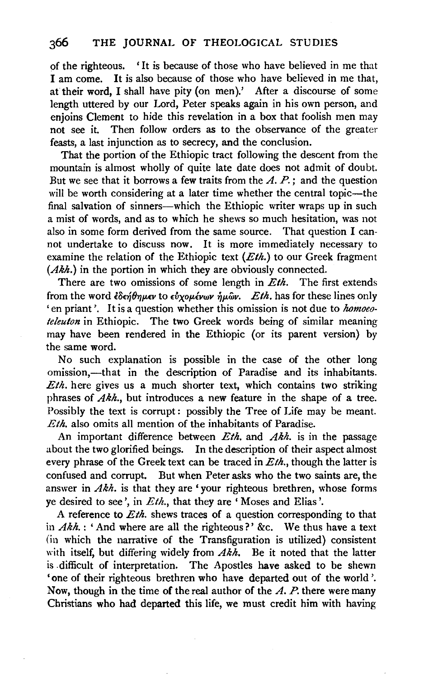of the righteous. 'It is because of those who have believed in me that I am come. It is also because of those who have believed in me that, at their word, I shall have pity (on men).' After a discourse of some length uttered by our Lord, Peter speaks again in his own person, and enjoins Clement to hide this revelation in a box that foolish men may not see it. Then follow orders as to the observance of the greater feasts, a last injunction as to secrecy, and the conclusion.

That the portion of the Ethiopic tract following the descent from the mountain is almost wholly of quite late date does not admit of doubt. But we see that it borrows a few traits from the  $A$ .  $P$ .; and the question will be worth considering at a later time whether the central topic—the final salvation of sinners-which the Ethiopic writer wraps up in such a mist of words, and as to which he shews so much hesitation, was not also in some form derived from the same source. That question I cannot undertake to discuss now. It is more immediately necessary to examine the relation of the Ethiopic text *(Eth.)* to our Greek fragment (Akh.) in the portion in which they are obviously connected.

There are two omissions of some length in *Eth.* The first extends from the word  $\epsilon \delta \epsilon \hat{n} \theta \eta \mu \epsilon v$  to  $\epsilon \hat{v} \gamma \delta \mu \epsilon \nu \omega \hat{n} \mu \hat{\omega} v$ . *Eth.* has for these lines only 'en priant '. It is a question whether this omission is not due to *homoeoteleuton* in Ethiopic. The two Greek words being of similar meaning may have been rendered in the Ethiopic (or its parent version) by the same word.

No such explanation is possible in the case of the other long omission,-that in the description of Paradise and its inhabitants. *Eth.* here gives us a much shorter text, which contains two striking phrases of *Akh.,* but introduces a new feature in the shape of a tree. Possibly the text is corrupt: possibly the Tree of Life may be meant. *Eth.* also omits all mention of the inhabitants of Paradise.

An important difference between *Eth.* and *Akh.* is in the passage about the two glorified beings. In the description of their aspect almost every phrase of the Greek text can be traced in *Eth.,* though the latter is confused and corrupt. But when Peter asks who the two saints are, the answer in *Akh.* is that they are 'your righteous brethren, whose forms ye desired to see', in *Eth.*, that they are 'Moses and Elias'.

A reference to *Eth.* shews traces of a question corresponding to that in *Akh.* : ' And where are all the righteous?' &c. We thus have a text (in which the narrative of the Transfiguration is utilized) consistent with itself, but differing widely from *Akh*. Be it noted that the latter is .difficult of interpretation. The Apostles have asked to be shewn 'one of their righteous brethren who have departed out of the world'. Now, though in the time of the real author of the  $A$ .  $P$ , there were many Christians who had departed this life, we must credit him with having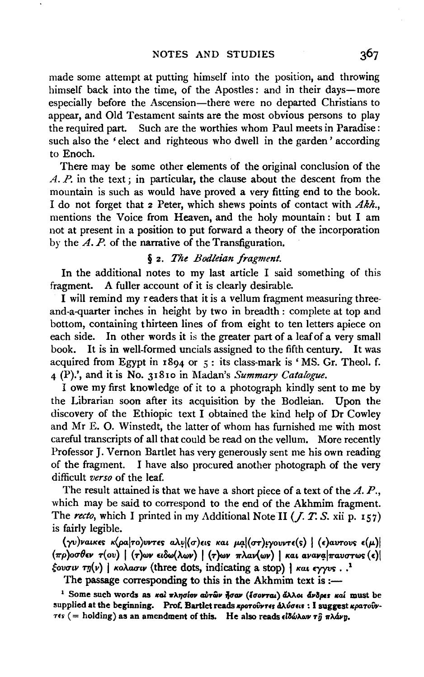made some attempt at putting himself into the position, and throwing himself back into the time, of the Apostles: and in their days—more especially before the Ascension-there were no departed Christians to appear, and Old Testament saints are the most obvious persons to play the required part. Such are the worthies whom Paul meets in Paradise: such also the 'elect and righteous who dwell in the garden' according to Enoch.

There may be some other elements of the original conclusion of the *A.* P. in the text; in particular, the clause about the descent from the mountain is such as would have proved a very fitting end to the book. I do not forget that 2 Peter, which shews points of contact with *Akh.,*  mentions the Voice from Heaven, and the holy mountain : but I am not at present in a position to put forward a theory of the incorporation by the  $A$ .  $P$ . of the narrative of the Transfiguration.

### § 2. *The Bodleian fragment.*

In the additional notes to my last article I said something of this fragment. A fuller account of it is clearly desirable.

I will remind my readers that it is a vellum fragment measuring threeand-a-quarter inches in height by two in breadth : complete at top and bottom, containing thirteen lines of from eight to ten letters apiece on each side. In other words it is the greater part of a leaf of a very small book. It is in well-formed uncials assigned to the fifth century. It was acquired from Egypt in  $1894$  or  $5$ : its class-mark is 'MS. Gr. Theol. f. 4 (P).', and it is No. 3181o in 1\Iadan's *Summary Catalogue.* 

I owe my first knowledge of it to a photograph kindly sent to me by the Librarian soon after its acquisition by the Bodleian. Upon the discovery of the Ethiopic text I obtained the kind help of Dr Cowley and Mr E. 0. Winstedt, the latter of whom has furnished me with most careful transcripts of all that could be read on the vellum. More recently Professor J. Vernon Bartlet has very generously sent me his own reading of the fragment. I have also procured another photograph of the very difficult *verso* of the leaf.

The result attained is that we have a short piece of a text of the  $A$ .  $P$ . which may be said to correspond to the end of the Akhmim fragment. The recto, which I printed in my Additional Note II (*J. T. S.* xii p. 157) is fairly legible.

 $({\gamma v})$ ναικες κ(ρα<sup>|</sup>το)*υντες αλυ*|(σ)εις και μα<sup>|</sup>(στ)ιγουντε(ς) | (ε)αυτους ε(μ)| *(πρ)οσθεν τ* (ov) | (τ)ων ειδω(λων) | (τ)ων πλαν(ων) | και ανανα|παυστως (ε)|  $\zeta$ ovou  $\tau$ <sup>n</sup>(v) | *Ko* $\lambda$ aouv (three dots, indicating a stop) | *Kat EYYvs*  $\cdot$  <sup>1</sup>

The passage corresponding to this in the Akhmim text is :-

<sup>1</sup> Some such words as *kal xhngiov airiov hoav (doortal) a* $\lambda \lambda \omega$  avoges kai must be supplied at the beginning. Prof. Bartlet reads xporovvres dAvoes : I suggest xparovv- $\tau$ <sup>es</sup> ( = holding) as an amendment of this. He also reads  $\epsilon i \delta \omega \lambda \omega \nu \tau \hat{y} \pi \lambda \Delta \nu \eta$ .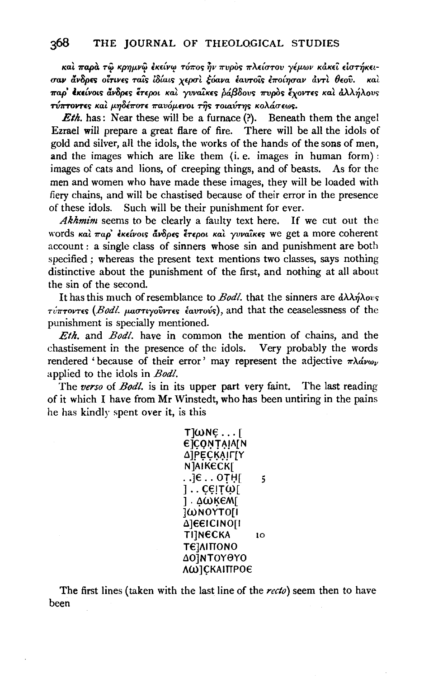## 368 THE JOURNAL OF THEOLOGICAL STUDIES

και παρά τω κρημνώ εκείνω τόπος ήν πυρος πλείστου γέμων κάκει ειστήκεισαν άνδρες οίτινες ταίς ίδίαις χερσί ξόανα έαυτοίς εποίησαν αντί θεού. και παρ' έκείνοις άνδρες έτεροι και γυναίκες ράβδους πυρος έχοντες και αλλήλους τύπτοντες και μηδέποτε παυόμενοι της τοιαύτης κολάσεως.

*Eth.* has: Near these will be a furnace (?). Beneath them the angel Ezrael will prepare a great flare of fire. There will be all the idols of gold and silver, all the idols, the works of the hands of the sons of men, and the images which are like them (i.e. images in human form): images of cats and lions, of creeping things, and of beasts. As for the men and women who have made these images, they will be loaded with fiery chains, and will be chastised because of their error in the presence of these idols. Such will be their punishment for ever.

*Akhmim* seems to be clearly a faulty text here. If we cut out the words και παρ' έκείνοις άνδρες έτεροι και γυναίκες we get a more coherent account : a single class of sinners whose sin and punishment are both specified ; whereas the present text mentions two classes, says nothing distinctive about the punishment of the first, and nothing at all about the sin of the second.

It has this much of resemblance to *Bodl*. that the sinners are  $d\lambda\lambda\eta\lambda_{\text{ov}}$ .  $\tau\hat{\nu}\pi\tau$ ovτες (*Bodl. μαστιγο*ύντες έαυτούς), and that the ceaselessness of the punishment is specially mentioned.

*Eth.* and *Bodl.* have in common the mention of chains, and the chastisement in the presence of the idols. Very probably the words rendered 'because of their error' may represent the adjective  $\pi\lambda\acute{a}v\omega_V$ applied to the idols in *Bodl.* 

The *verso* of *Bodl.* is in its upper part very faint. The last reading of it which I have from Mr Winstedt, who has been untiring in the pains he has kindly spent over it, is this

> $T$ ] $\omega$ nę  $\ldots$  [  $E$ [CONTAIA[N  $\Delta$ ]PECKAIF[Y N]AIK€CK[ .. ]€ .. OTI:ll *5*   $] \ldots$ CEIT $\omega$ [ ] . Δ**ω**ΚΕΜ[ ]WNOYTO[I ~]€€1CINO[I TI]N€CKA 10 **TE]ΛΙΠΟΝΟ** .10]NTOY8YO **Λω]CΚΑΙΠΡΟΕ**

The first lines (taken with the last line of the *recto)* seem then to have been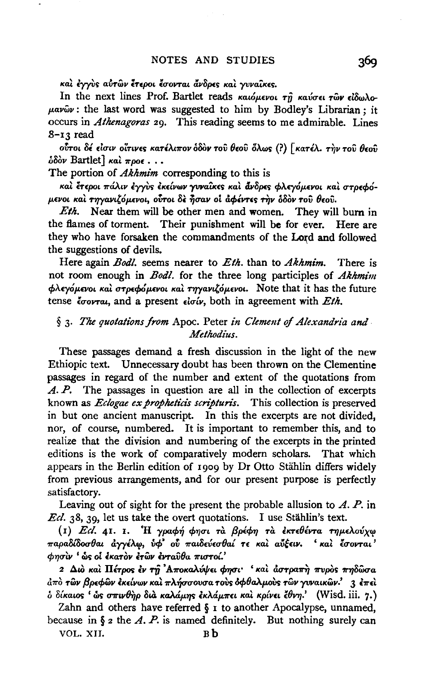και έγγυς αύτων έτεροι έσονται άνδρες και γυναίκες.

In the next lines Prof. Bartlet reads καιόμενοι τη καύσει των είδωλο- $\mu a\nu\omega \nu$ : the last word was suggested to him by Bodley's Librarian; it occurs in *Athenagoras* 29. This reading seems to me admirable. Lines 8-13 read

οὖτοι δέ εἰσιν οἴτινες κατέλιπον ὁδὸν τοῦ θεοῦ ὅλως (?) [ κατέλ. τὴν τοῦ θεοῦ δδόν Bartlet | και προε...

The portion of Akhmim corresponding to this is

καὶ ἔτεροι πάλιν ἐγγὺς ἐκείνων γυναῖκες καὶ ἄνδρες φλεγόμενοι καὶ στρεφόμενοι και τηνανιζόμενοι, ούτοι δε ήσαν οι αφέντες την όδον του θεου.

Eth. Near them will be other men and women. They will burn in the flames of torment. Their punishment will be for ever. Here are they who have forsaken the commandments of the Lord and followed the suggestions of devils.

Here again *Bodl*, seems nearer to *Eth*, than to *Akhmim*, There is not room enough in *Bodl*, for the three long participles of *Akhmim* φλεγόμενοι και στρεφόμενοι και τηγανιζόμενοι. Note that it has the future tense covrai, and a present  $\epsilon i\sigma \acute{\nu}$ , both in agreement with *Eth*,

## § 3. The quotations from Apoc. Peter in Clement of Alexandria and Methodius.

These passages demand a fresh discussion in the light of the new Ethiopic text. Unnecessary doubt has been thrown on the Clementine passages in regard of the number and extent of the quotations from  $A.P.$  The passages in question are all in the collection of excerpts known as *Eclogae ex propheticis scripturis*. This collection is preserved in but one ancient manuscript. In this the excerpts are not divided. nor, of course, numbered. It is important to remember this, and to realize that the division and numbering of the excerpts in the printed editions is the work of comparatively modern scholars. That which appears in the Berlin edition of 1909 by Dr Otto Stählin differs widely from previous arrangements, and for our present purpose is perfectly satisfactory.

Leaving out of sight for the present the probable allusion to  $A$ .  $P$ . in  $Ed.$  38, 39, let us take the overt quotations. I use Stählin's text.

(1) Εcl. 41. 1. Η γραφή φησι τα βρέφη τα εκτεθέντα τημελούχω παραδίδοσθαι άγγέλω, ύφ' ού παιδεύεσθαί τε και αύξειν. 'και έσονται'  $\phi$ ησὶν ' ως οί έκατὸν ἐτῶν ἐνταῦθα πιστοί.'

2 Διὸ καὶ Πέτρος έν τη Αποκαλύψει φησι· 'καὶ άστραπή πυρὸς πηδώσα  $d\pi$ ò τῶν βρεφῶν ἐκείνων καὶ πλήσσουσα τοὺς ὀφθαλμοὺς τῶν γυναικῶν.' 3 ἐπεὶ  $\delta$  δίκαιος ' ως σπινθήρ διά καλάμης εκλάμπει και κρίνει έθνη.' (Wisd. iii. 7.)

Zahn and others have referred  $\S$  I to another Apocalypse, unnamed, because in  $\S$  z the A. P. is named definitely. But nothing surely can

VOL. XII.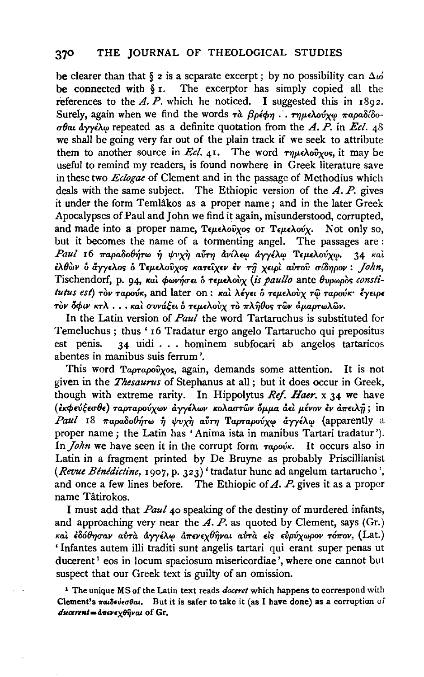be clearer than that § 2 is a separate excerpt; by no possibility can  $\Delta \omega$ be connected with § 1. The excerptor has simply copied all the references to the A. P. which he noticed. I suggested this in  $1892$ . Surely, again when we find the words  $\tau \hat{a}$   $\beta \rho \epsilon \phi \eta$ .  $\tau \eta \mu \epsilon \lambda \sigma \gamma \psi$   $\pi a \rho a \delta \hat{\delta} \delta$  $\sigma \theta$ au  $\frac{d}{dx}$  repeated as a definite quotation from the A. P. in Ecl. 48 we shall be going very far out of the plain track if we seek to attribute them to another source in Ecl. 41. The word  $\tau \eta \mu \epsilon \lambda_0 \hat{v}_{\chi}$  it may be useful to remind my readers, is found nowhere in Greek literature save in these two Eclogae of Clement and in the passage of Methodius which deals with the same subject. The Ethiopic version of the  $A. P.$  gives it under the form Temlâkos as a proper name; and in the later Greek Apocalypses of Paul and John we find it again, misunderstood, corrupted, and made into a proper name, Τεμελούχος οι Τεμελούχ. Not only so, but it becomes the name of a tormenting angel. The passages are : Ραυί 16 παραδοθήτω ή ψυχή αύτη ανίλεω άγγέλω Τεμελούχω.  $34$   $\kappa$ ai έλθων ο άγγελος ο Τεμελούχος κατείχεν έν τη χειρί αύτου σίδηρον: John, Tischendorf, p. 94, και φωνήσει δ τεμελούχ (is paullo ante θυρωρος constitutus est) τον ταρούκ, and later on: και λέγει ο τεμελούχ τω ταρούκ· έγειρε τον όφιν κτλ... και συνάξει ο τεμελούχ το πληθος των άμαρτωλων.

In the Latin version of *Paul* the word Tartaruchus is substituted for Temeluchus; thus '16 Tradatur ergo angelo Tartarucho qui prepositus 34 uidi . . . hominem subfocari ab angelos tartaricos est penis. abentes in manibus suis ferrum'.

This word Taprapovyos, again, demands some attention. It is not given in the Thesaurus of Stephanus at all; but it does occur in Greek, though with extreme rarity. In Hippolytus Ref. Haer.  $x$  34 we have (εκφεύξεσθε) ταρταρούχων άγγέλων κολαστών όμμα αεί μένον εν απειλή; in Paul 18 παραδοθήτω ή ψυχή αύτη Ταρταρούχω άγγέλω (apparently a proper name; the Latin has 'Anima ista in manibus Tartari tradatur'). In *John* we have seen it in the corrupt form  $\tau_{\alpha\rho\alpha\gamma\kappa}$ . It occurs also in Latin in a fragment printed by De Bruyne as probably Priscillianist (Revue Bénédictine, 1907, p. 323) 'tradatur hunc ad angelum tartarucho', and once a few lines before. The Ethiopic of  $A$ .  $P$ , gives it as a proper name Tâtirokos.

I must add that *Paul* 40 speaking of the destiny of murdered infants, and approaching very near the  $A. P.$  as quoted by Clement, says (Gr.) και έδόθησαν αύτα άγγέλω απενεχθήναι αύτα είς εύρύχωρον τόπον, (Lat.) 'Infantes autem illi traditi sunt angelis tartari qui erant super penas ut ducerent<sup>1</sup> eos in locum spaciosum misericordiae', where one cannot but suspect that our Greek text is guilty of an omission.

<sup>1</sup> The unique MS of the Latin text reads *doceret* which happens to correspond with Clement's παιδεύεσθαι. But it is safer to take it (as I have done) as a corruption of ducerent = απενεχθήναι of Gr.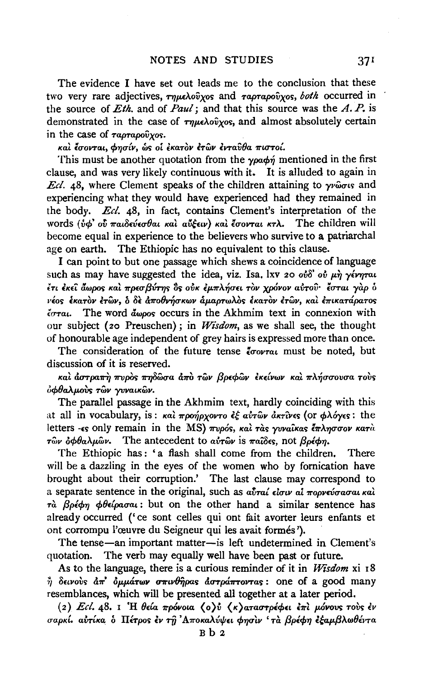The evidence I have set out leads me to the conclusion that these two very rare adjectives,  $\tau \eta \mu \epsilon \lambda \hat{\sigma} \gamma \gamma \delta \rho \sigma \eta$  aprapov<sub>y</sub> os, both occurred in the source of *Eth.* and of *Paul;* and that this source was the *A. P.* is demonstrated in the case of *τημελο*ύχος, and almost absolutely certain in the case of *Taprapov*<sub>yos</sub>.

*Kal. ZuoVTat, cp7Ju{v, ws* oi *€Ka'f'cw i'f'wv iVTavBa 7rtUT'oL* 

This must be another quotation from the  $\gamma$ *pach* mentioned in the first clause, and was very likely continuous with it. It is alluded to again in *Ecl.* 48, where Clement speaks of the children attaining to  $\gamma \tilde{\nu}$  and experiencing what they would have experienced had they remained in the body. *Eel.* 48, in fact, contains Clement's interpretation of the words *(νο' ον παιδεύεσθαι και αύξειν) και έσονται κτλ.* The children will become equal in experience to the believers who survive to a patriarchal age on earth. The Ethiopic has no equivalent to this clause.

I can point to but one passage which shews a coincidence of language such as may have suggested the idea, viz. Isa, lxv 20  $\omega\delta$  of  $\mu\eta$  *y*év $\eta\tau\alpha\iota$ *£n iK£L d.wpos Kal. 1rp£uf3Vr,s* 3s *oflK* lp.1r>..~un *T'ov ")(p6vov aflTov· £crrat yap* o  $\nu$ έος εκατον ετῶν, δ δε αποθνήσκων αμαρτωλος εκατον ετῶν, και επικατάρατος *€crrat.* The word *d.wpos* occurs in the Akhmim text in connexion with our subject *(zo* Preuschen); in *Wisdom,* as we shall see, the thought of honourable age independent of grey hairs is expressed more than once.

The consideration of the future tense  $\vec{\epsilon}$ *ovrat* must be noted, but discussion of it is reserved.

*Kal. d.crrpa7ri] 7rVpOS 7r7J8wua* d.7r0 T'Wll *{3p£cpwv lK£{vwv Kal* 7rA~uuovua TOVS  $\delta$ φθαλμοὺς τῶν γυναικῶν.

The parallel passage in the Akhmim text, hardly coinciding with this at all in vocabulary, is: και προήρχοντο εξ αύτων ακτίνες (or φλόγες: the letters - $\epsilon$ s only remain in the MS) *πνοός, και τας γυναίκας έπλησσον κατα Tωv δφθαλμων.* The antecedent to *αύτων* is *παΐδες*, not *βρέφη.* 

The Ethiopic has: 'a flash shall come from the children. There will be a dazzling in the eyes of the women who by fornication have brought about their corruption.' The last clause may correspond to a separate sentence in the original, such as avraí *<i>Eiouv* ai *πορνεύσασαι και και Ta {3plcp7J cp8£{pauat* : but on the other hand a similar sentence has already occurred (' ce sont celles qui ont fait avorter leurs enfants et ont corrompu l'œuvre du Seigneur qui les avait formés').

The tense-an important matter-is left undetermined in Clement's quotation. The verb may equally well have been past or future.

As to the language, there is a curious reminder of it in *Wisdom* xi 18  $\dot{\eta}$  δεινούς απ' δμμάτων σπινθήρας αστράπτοντας: one of a good many resemblances, which will be presented all together at a later period.

(2) *Ecl.* 48. 1 Η θεία πρόνοια (ο)ύ (κ)αταστρέφει έπι μόνους τους έν crapkí. aύτίκα ο Πέτρος έν τη 'Αποκαλύψει φησιν 'τα βρέφη εξαμβλωθέντα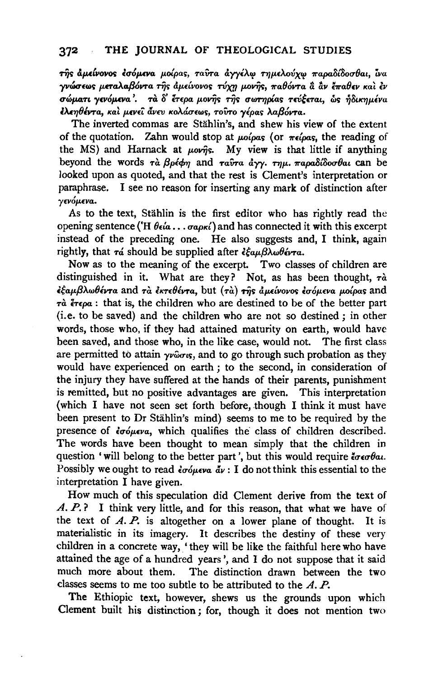$\tau$ ής αμείνονος εσόμενα μοίρας, ταΐτα αγγέλω τημελούχω παραδίδοσθαι, ίνα )'J'Wu€(1)~ *p.uaA.a{JoVTa* nj~ dp.€{VOVO~ *T..JX!/* p.ovij~, *1ra6oVTa* £ */1v bf'a(Jw Kaf. lv*  u~T' *ywoJUVa* '. *Ta 8' tnpa* p.ovij~ nj~ IT(I)TT}pLa~ n-6~uat, ~~ ~8tK'YlfLEVa  $\epsilon$ λεηθέντα, και μενεί άνευ κολάσεως, τουτο γέρας λαβόντα.

The inverted commas are Stahlin's, and shew his view of the extent of the quotation. Zahn would stop at  $\mu o \circ \rho a s$ , (or  $\pi \epsilon \circ \rho a s$ , the reading of the MS) and Harnack at  $\mu$ ov $\hat{\eta}$ s. My view is that little if anything beyond the words *τα βρέφη* and *ταΐτα άγγ. τημ. παραδίδοσθαι* can be looked upon as quoted, and that the rest is Clement's interpretation or paraphrase. I see no reason for inserting any mark of distinction after *yw6p.€va.* 

As to the text, Stahlin is the first editor who has rightly read the opening sentence ('H θεία . . . σαρκί) and has connected it with this excerpt instead of the preceding one. He also suggests and, I think, again rightly, that *rá* should be supplied after *<i>i*sauß $\lambda$ wθέντa.

Now as to the meaning of the excerpt. Two classes of children are distinguished in it. What are they? Not, as has been thought, *Ta*   $\epsilon$ ξαμβλωθέντα and τα εκτεθέντα, but (τα) της αμείνονος εσόμενα μοίρας and  $\tau$ *a*  $\epsilon$ *T* $\epsilon$ *pa* : that is, the children who are destined to be of the better part (i.e. to be saved) and the children who are not so destined ; in other words, those who, if they had attained maturity on earth, would have been saved, and those who, in the like case, would not. The first class are permitted to attain  $\gamma \hat{\nu} \hat{\omega} \sigma \hat{\kappa}$ , and to go through such probation as they would have experienced on earth ; to the second, in consideration of the injury they have suffered at the hands of their parents, punishment is remitted, but no positive advantages are given. This interpretation (which I have not seen set forth before, though I think it must have been present to Dr Stählin's mind) seems to me to be required by the presence of  $\frac{2}{\sqrt{3}}$  which qualifies the class of children described. The words have been thought to mean simply that the children in question 'will belong to the better part', but this would require  $\zeta \epsilon \sigma \theta a \iota$ . Possibly we ought to read  $\frac{\partial \sigma}{\partial \mu} = \bar{x}$ . I do not think this essential to the interpretation I have given.

How much of this speculation did Clement derive from the text of *A. P.?* I think very little, and for this reason, that what we have of the text of  $A. P.$  is altogether on a lower plane of thought. It is materialistic in its imagery. It describes the destiny of these very children in a concrete way, 'they will be like the faithful here who have attained the age of a hundred years', and I do not suppose that it said much more about them. The distinction drawn between the two classes seems to me too subtle to be attributed to the  $A$ . P.

The Ethiopic text, however, shews us the grounds upon which Clement built his distinction ; for, though it does not mention two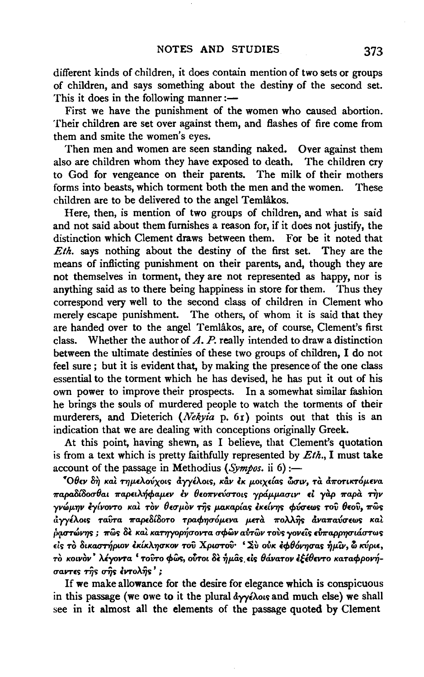different kinds of children, it does contain mention of two sets or groups of children, and says something about the destiny of the second set. This it does in the following manner  $:=$ 

First we have the punishment of the women who caused abortion. Their children are set over against them, and flashes of fire come from them and smite the women's eyes.

Then men and women are seen standing naked. Over against them also are children whom they have exposed to death. The children cry to God for vengeance on their parents. The milk of their mothers forms into beasts, which torment both the men and the women. These children are to be delivered to the angel Temlakos.

Here, then, is mention of two groups of children, and what is said and not said about them furnishes a reason for, if it does not justify, the distinction which Clement draws between them. For be it noted that  $Eth$ , says nothing about the destiny of the first set. They are the means of inflicting punishment on their parents, and, though they are not themselves in torment, they are not represented as happy, nor is anything said as to there being happiness in store for them. Thus they correspond very well to the second class of children in Clement who merely escape punishment. The others, of whom it is said that they are handed over to the angel Temlakos, are, of course, Clement's first class. Whether the author of  $A$ .  $P$ . really intended to draw a distinction between the ultimate destinies of these two groups of children, I do not feel sure ; but it is evident that, by making the presence of the one class essential to the torment which he has devised, he has put it out of his own power to improve their prospects. In a somewhat similar fashion he brings the souls of murdered people to watch the torments of their murderers, and Dieterich *(Nekyia* p. 6r) points out that this is an indication that we are dealing with conceptions originally Greek.

At this point, having shewn, as I believe, that Clement's quotation is from a text which is pretty faithfully represented by  $Eth$ ., I must take account of the passage in Methodius  $(Sympos.$  ii 6) :-

*•o9£V* ~ *Kal T7JJL€A01ixot<; uyylll.ots, KAv lK p.otx£las* ~uw, Tc1 *U'II"OTtKTOJL£Ya '11"apa8£8ou9at 'll"apnll.f]cpap.OI lv 9£o'!I"YruO"Tots ypap.p.autv•* £l *yc1p 7rapa* ~~~ *yvwp.TJY lylvoYTo Kal TOY 8£up.6v* rijs *p.aKap{as £K£{VTJ'> cp..iu£1Jl'> Tov 8£ov*1 *7rW'> aγγέλοις ταύτα παρεδίδοτο τραφησόμενα μετ*ά πολλής άναπαύσεως και *pαστώνης; π*ως δε και κατηγορήσοντα σφων αυτων τους γονείς ευπαρρησιάστως  $\vec{f}$ *ές το δικαστήριον εκίκλησκον του Χριστου* · Συ ούκ εφθόνησας ήμιν, ω κύριε, Tò κοινὸν' λέγοντα <sup>1</sup> τοῦτο φῶς, οὖτοι δὲ ἡμᾶς εἰς θάνατον ἐξέθεντο καταφρονή*uaYT£'>* rijs *uTjs* £YToATj!l ' *;* 

If we make allowance for the desire for elegance which is conspicuous in this passage (we owe to it the plural  $\partial y \gamma \partial \phi$  and much else) we shall see in it almost all the elements of the passage quoted by Clement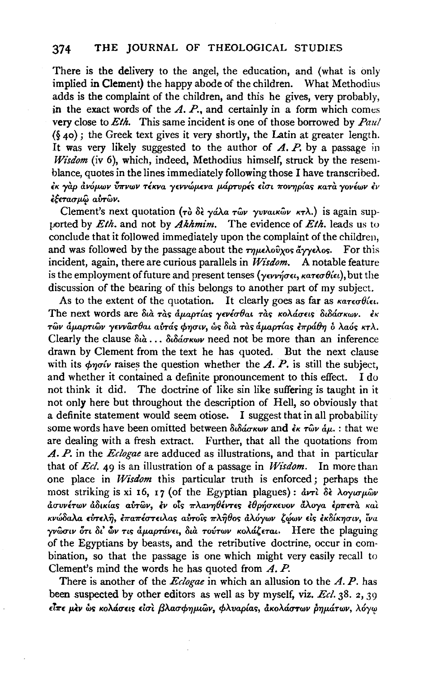There is the delivery to the angel, the education, and (what is only implied in Clement) the happy abode of the children. What Methodius adds is the complaint of the children, and this he gives, very probably, in the exact words of the  $A$ .  $P$ ., and certainly in a form which comes very close to *Eth*. This same incident is one of those borrowed by  $Pauli$  $(\S$ 40); the Greek text gives it very shortly, the Latin at greater length. It was very likely suggested to the author of  $A$ .  $P$ , by a passage in Wisdom (iv 6), which, indeed, Methodius himself, struck by the resenblance, quotes in the lines immediately following those I have transcribed. έκ γὰρ ἀνόμων ὖπνων τέκνα γεννώμενα μάρτυρές είσι πονηρίας κατὰ γονέων ἐν έξετασμώ αυτών.

Clement's next quotation (τὸ δὲ γάλα τῶν γυναικῶν κτλ.) is again supported by  $Eth$ , and not by  $Akhmin$ . The evidence of  $Eth$ , leads us to conclude that it followed immediately upon the complaint of the children, and was followed by the passage about the  $\tau \eta \mu \epsilon \lambda_0 \hat{v} \gamma_0 \gamma_0 \lambda_0 s$ . For this incident, again, there are curious parallels in  $W$ isdom. A notable feature is the employment of future and present tenses ( $\gamma$ *evrno*  $\epsilon$ *i*,  $\kappa$ *areo*  $\theta$ *i* $\epsilon$ *i*), but the discussion of the bearing of this belongs to another part of my subject.

As to the extent of the quotation. It clearly goes as far as  $\kappa a \tau \epsilon \sigma \theta' \epsilon \iota$ . The next words are διά τας άμαρτίας γενέσθαι τας κολάσεις διδάσκων. έκ των άμαρτιων γεννώσθαι αύτάς φησιν, ως δια τας άμαρτίας επράθη ο λαός κτλ. Clearly the clause  $\delta u \dot{a} \dots \delta u \delta u \dot{\alpha} \kappa v$  need not be more than an inference drawn by Clement from the text he has quoted. But the next clause with its  $\phi\eta\sigma\acute{\iota}\nu$  raises the question whether the A. P. is still the subject, and whether it contained a definite pronouncement to this effect. I do not think it did. The doctrine of like sin like suffering is taught in it not only here but throughout the description of Hell, so obviously that a definite statement would seem otiose. I suggest that in all probability some words have been omitted between  $\delta \omega \delta \omega \overrightarrow{\omega}$  and  $\epsilon \overrightarrow{\kappa}$  r $\omega \nu$  and  $\mu$ . : that we are dealing with a fresh extract. Further, that all the quotations from A. P. in the Eclogae are adduced as illustrations, and that in particular that of Ecl. 49 is an illustration of a passage in Wisdom. In more than one place in *Wisdom* this particular truth is enforced; perhaps the most striking is xi 16, 17 (of the Egyptian plagues):  $\frac{\partial}{\partial r}$   $\frac{\partial}{\partial \xi}$   $\lambda$ oyio $\mu$ ων άσυνέτων άδικίας αύτων, έν οίς πλανηθέντες εθρήσκευον άλογα έρπετα και κνώδαλα εύτελη, έπαπέστειλας αύτοις πληθος άλόγων ζώων είς εκδίκησιν, ίνα γνώσιν ότι δι' ών τις άμαρτάνει, διά τούτων κολάζεται. Here the plaguing of the Egyptians by beasts, and the retributive doctrine, occur in combination, so that the passage is one which might very easily recall to Clement's mind the words he has quoted from  $A$ .  $P$ .

There is another of the *Eclogae* in which an allusion to the  $A$ .  $P$ . has been suspected by other editors as well as by myself, viz. Ecl. 38. 2, 39 είπε μεν ώς κολάσεις είσι βλασφημιών, φλυαρίας, άκολάστων ρημάτων, λόγω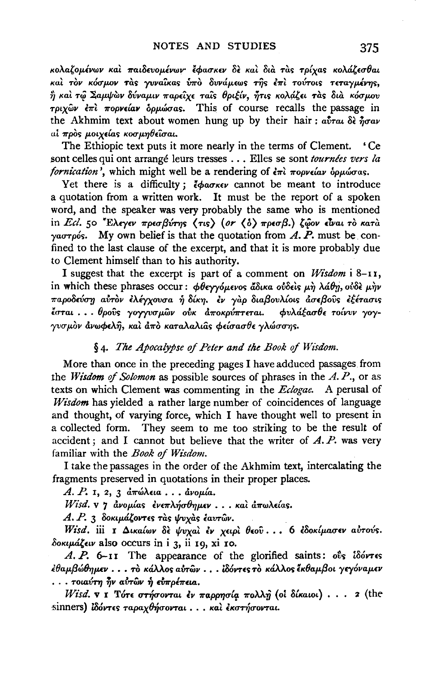κολαζομένων και παιδευομένων· έφασκεν δε και δια τας τρίχας κολάζεσθαι και τον κόσμον τας γυναίκας ύπο δυνάμεως της έπι τούτοις τεταγμένης, η και τω Σαμψων δύναμιν παρείχε ταις θριξίν, ήτις κολάζει τας δια κόσμου  $\tau \rho \chi$   $\omega$   $\chi$   $\tau$   $\gamma$   $\sigma$   $\gamma$   $\epsilon$   $\omega$   $\alpha$   $\sigma$   $\omega$   $\sigma$   $\alpha$   $\gamma$ . This of course recalls the passage in the Akhmim text about women hung up by their hair: avrai de hoav αί πρός μοιχείας κοσμηθείσαι.

The Ethiopic text puts it more nearly in the terms of Clement. 'Ce sont celles qui ont arrangé leurs tresses . . . Elles se sont tournées vers la fornication', which might well be a rendering of  $\epsilon \pi i$  πορνείαν δρμώσας.

Yet there is a difficulty;  $\zeta \phi a \sigma \kappa \epsilon \nu$  cannot be meant to introduce a quotation from a written work. It must be the report of a spoken word, and the speaker was very probably the same who is mentioned in Ecl. 50 Έλεγεν πρεσβύτης (τις) (or (δ) πρεσβ.) ζώον είναι το κατα γαστρός. My own belief is that the quotation from  $A$ . P. must be confined to the last clause of the excerpt, and that it is more probably due to Clement himself than to his authority.

I suggest that the excerpt is part of a comment on Wisdom i 8-11, in which these phrases occur: φθεγγόμενος άδικα ούδεις μη λάθη, ούδε μην παροδεύση αύτον ελέγχουσα ή δίκη. εν γαρ διαβουλίοις άσεβους εξέτασις έσται...θρούς γογγυσμών ούκ άποκρύπτεται. φυλάξασθε τοίνυν γογγυσμόν άνωφελή, και άπό καταλαλιας φείσασθε γλώσσης.

### § 4. The Apocalypse of Peter and the Book of Wisdom.

More than once in the preceding pages I have adduced passages from the Wisdom of Solomon as possible sources of phrases in the  $A$ .  $P$ , or as texts on which Clement was commenting in the Eclogae. A perusal of Wisdom has yielded a rather large number of coincidences of language and thought, of varying force, which I have thought well to present in a collected form. They seem to me too striking to be the result of accident; and I cannot but believe that the writer of  $A.P.$  was very familiar with the Book of Wisdom.

I take the passages in the order of the Akhmim text, intercalating the fragments preserved in quotations in their proper places.

A. P. 1, 2, 3 απώλεια... ανομία.

Wisd. v 7 ανομίας ενεπλήσθημεν... και απωλείας.

A. P. 3 δοκιμάζοντες τας ψυχας έαυτών.

Wisd. iii 1 Δικαίων δε ψυχαί έν χειρί θεού... 6 εδοκίμασεν αυτούς. δοκιμάζειν also occurs in i 3, ii 19, xi 10.

A. P. 6-11 The appearance of the glorified saints: over idoverses έθαμβώθημεν... τὸ κάλλος αὐτῶν... ιδόντες τὸ κάλλος ἔκθαμβοι γεγόναμεν ... τοιαύτη ήν αύτων ή εύπρέπεια.

Wisd. v 1 Τότε στήσονται έν παρρησία πολλή (οι δίκαιοι) . . . 2 (the sinners) ιδόντες ταραχθήσονται... και εκστήσονται.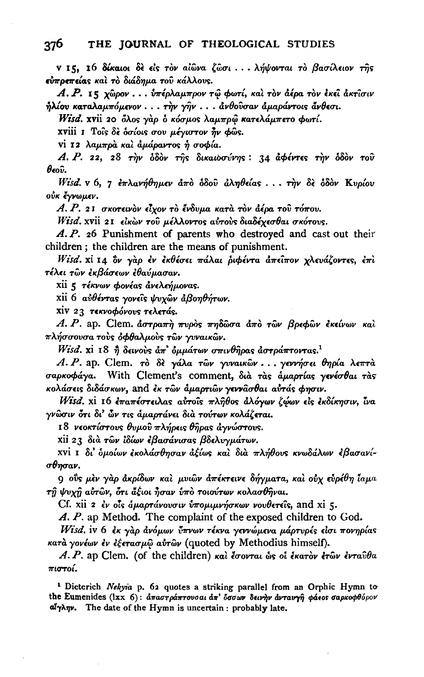V.15, 16 δίκαιοι δε είς τον αίώνα ζώσι... λήψονται το βασίλειον της εύπρεπείας και το διάδημα του κάλλους.

Α.Ρ. 15 χώρον... υπέρλαμπρον τώ φωτί, και τον άέρα τον έκει άκτισιν ήλίου καταλαμπόμενον... την γήν... ανθούσαν άμαράντοις άνθεσι.

Wisd. xvii 20 δλος γάρ δ κόσμος λαμπρώ κατελάμπετο φωτί.

xviii 1 Tois δε δσίοις σου μέγιστον ην φώς.

νί 12 λαμπρά και άμάραντος ή σοφία.

Α. Ρ. 22, 28 την όδον της δικαιοσύνης: 34 αφέντες την όδον του  $\theta$ co $\hat{v}$ .

Wisd. v 6, 7 επλανήθημεν άπο δδου άληθείας ... την δε δδον Κυρίου ούκ ἔγνωμεν.

 $A.$   $P.$  21 σκοτεινόν είχον τὸ ἔνδυμα κατά τὸν ἀέρα τοῦ τόπου.

Wisd. xvii 21 είκών του μέλλοντος αύτους διαδέχεσθαι σκότους.

A.P. 26 Punishment of parents who destroyed and cast out their children; the children are the means of punishment.

Wisd. xi 14 δν γαρ έν εκθέσει πάλαι ριφέντα απείπον χλευάζοντες, επι τέλει τῶν ἐκβάσεων ἐθαύμασαν.

xii 5 τέκνων φονέας ανελεήμονας.

xii 6 *αυθέντας γονείς ψυχών άβοηθήτων*.

xiv 23 τεκνοφόνους τελετάς.

A. P. ap. Clem. άστραπή πυρός πηδώσα άπό των βρεφών έκείνων καί πλήσσουσα τοὺς ὀφθαλμοὺς τῶν γυναικῶν.

Wisd. xi 18  $\eta$  δεινούς απ' ομμάτων σπινθήρας αστράπτοντας.<sup>1</sup>

A.P. ap. Clem. το δε γάλα των γυναικών... γεννήσει θηρία λεπτά σαρκοφάγα. With Clement's comment, διà τας αμαρτίας γενέσθαι τας κολάσεις διδάσκων, and έκ των άμαρτιών γεννασθαι αύτάς φησιν.

Wisd. xi 16 επαπέστειλας αύτοῖς πλῆθος ἀλόγων ζώων εἰς εκδίκησιν, ἶνα γνώσιν ότι δι' ών τις άμαρτάνει δια τούτων κολάζεται.

18 νεοκτίστους θυμού πλήρεις θήρας άγνώστους.

xii 23 διά των ιδίων εβασάνισας βδελυγμάτων.

xvi I δι' δμοίων εκολάσθησαν αξίως και δια πλήθους κνωδάλων εβασανίσθησαν.

9 οΰς μὲν γὰρ ἀκρίδων καὶ μυιῶν ἀπέκτεινε δήγματα, καὶ οὐχ εὗρέθη ἴαμα τη ψυχη αύτων, ότι άξιοι ήσαν ύπο τοιούτων κολασθηναι.

Cf. xii 2 έν οίς άμαρτάνουσιν ύπομιμνήσκων νουθετείς, and xi 5.

A. P. ap Method. The complaint of the exposed children to God.

Wisd. iv 6 εκ γαρ ανόμων <del>ύπν</del>ων τέκνα γεννώμενα μάρτυρές είσι πονηρίας κατά γονέων έν έξετασμώ αύτών (quoted by Methodius himself).

A.P. ap Clem. (of the children) και έσονται ως οι έκατον ετων ενταύθα πιστοί.

<sup>1</sup> Dieterich Nekyia p. 62 quotes a striking parallel from an Orphic Hymn to the Eumenides (1xx 6): απαστράπτουσαι απ' όσσων δεινήν ανταυγή φάεος σαρκοφθύρον αΐγλην. The date of the Hymn is uncertain: probably late.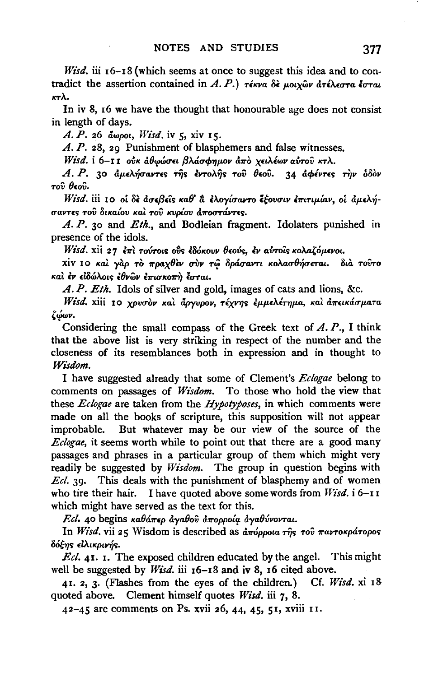Wisd. iii  $16-18$  (which seems at once to suggest this idea and to contradict the assertion contained in A. P.)  $\tau$ έκνα δε μοιχών ατέλεστα έσται  $\kappa \tau \lambda$ .

In iv 8, 16 we have the thought that honourable age does not consist in length of days.

 $A. P.$  26 dwpot, Wisd. iv 5, xiv 15.

A. P. 28, 29 Punishment of blasphemers and false witnesses.

Wisd. i 6-11 ούκ άθωώσει βλάσφημον άπο χειλέων αύτου κτλ.

 $A. P.$  30 αμελήσαντες της έντολης του θεου. 34 αφέντες την όδον  $τού θεού.$ 

Wisd. iii 10 οι δε άσεβείς καθ' α ελογίσαντο έξουσιν επιτιμίαν, οι άμελήσαντες του δικαίου και του κυρίου άποστάντες.

 $A. P.$  30 and  $Eth$ , and Bodleian fragment. Idolaters punished in presence of the idols.

Wisd. xii 27 επι τούτοις ούς εδόκουν θεούς, εν αύτοις κολαζόμενοι.

χίν το και γάρ το πραχθεν σύν τω δράσαντι κολασθήσεται. δια τούτο καὶ ἐν εἰδώλοις ἐθνῶν ἐπισκοπὴ ἔσται.

A.P. Eth. Idols of silver and gold, images of cats and lions, &c.

Wisd. xiii 10 χρυσόν και άργυρον, τέχνης εμμελέτημα, και απεικάσματα ζώων.

Considering the small compass of the Greek text of  $A$ .  $P$ ., I think that the above list is very striking in respect of the number and the closeness of its resemblances both in expression and in thought to Wisdom.

I have suggested already that some of Clement's Eclogae belong to comments on passages of Wisdom. To those who hold the view that these Eclogae are taken from the Hypotyposes, in which comments were made on all the books of scripture, this supposition will not appear But whatever may be our view of the source of the improbable. Eclogae, it seems worth while to point out that there are a good many passages and phrases in a particular group of them which might very readily be suggested by Wisdom. The group in question begins with  $Ed.$  39. This deals with the punishment of blasphemy and of women who tire their hair. I have quoted above some words from  $W$  is  $d$ . i  $6-11$ which might have served as the text for this.

Ecl. 40 begins καθάπερ άγαθού άπορροία άγαθύνονται.

In Wisd. vii 25 Wisdom is described as  $\frac{1}{4} \pi \phi \rho \rho \omega a \tau \hat{\eta} s$  του παντοκράτορος δόξης είλικρινής.

 $\emph{Ed. }$  41. I. The exposed children educated by the angel. This might well be suggested by Wisd. iii  $16-18$  and iv 8, 16 cited above.

41. 2, 3. (Flashes from the eyes of the children.) Cf. Wisd. xi 18 quoted above. Clement himself quotes Wisd. iii 7, 8.

42-45 are comments on Ps. xvii 26, 44, 45, 51, xviii 11.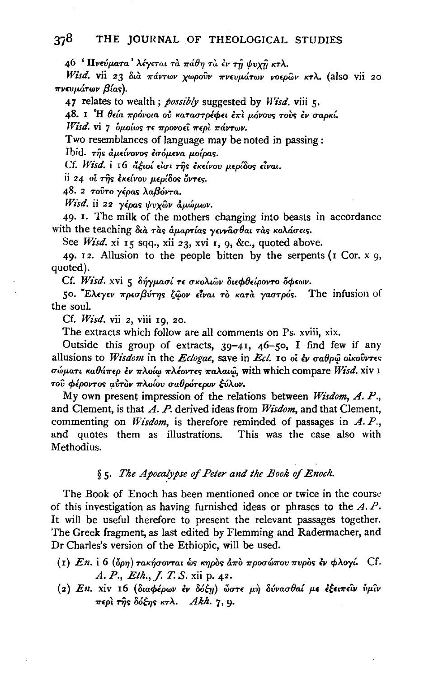46 'Πνεύματα' λέγεται τα πάθη τα έν τη ψυχη κτλ.

Wisd. vii 23 διά πάντων χωρούν πνευμάτων νοερών κτλ. (also vii 20 πνευμάτων βίας).

47 relates to wealth ; possibly suggested by Wisd. viii 5.

48. Ι Η θεία πρόνοια ού καταστρέφει έπι μόνους τους έν σαρκί.

Wisd. vi 7 δμοίως τε προνοεί περί πάντων.

Two resemblances of language may be noted in passing:

Ibid. της αμείνονος εσόμενα μοίρας.

Cf. Wisd. i 16 άξιοί είσι της εκείνου μερίδος είναι.

ii 24 οι της εκείνου μερίδος όντες.

48. 2 τούτο γέρας λαβόντα.

Wisd. ii 22 γέρας ψυχών άμώμων.

49. I. The milk of the mothers changing into beasts in accordance with the teaching διά τας άμαρτίας γεννασθαι τας κολάσεις.

See Wisd. xi 15 sqq., xii 23, xvi 1, 9, &c., quoted above.

49. 12. Allusion to the people bitten by the serpents ( $\mathbf{r}$  Cor. x  $\mathbf{q}$ , quoted).

Cf. Wisd. xvi 5 δήγμασί τε σκολιών διεφθείροντο όφεων.

50. Eλεγεν πρεσβύτης ζώον είναι τὸ κατὰ γαστρός. The infusion of the soul.

Cf. Wisd. vii  $2$ , viii  $19$ ,  $20$ .

The extracts which follow are all comments on Ps. xviii, xix.

Outside this group of extracts,  $39-41$ ,  $46-50$ , I find few if any allusions to Wisdom in the Eclogae, save in Ecl. 10 of  $\epsilon$ v oa $\theta \rho \hat{\varphi}$  olkovres σώματι καθάπερ έν πλοίω πλέοντες παλαιώ, with which compare Wisd. xiv I τοῦ φέροντος αὐτὸν πλοίου σαθρότερον ξύλον.

My own present impression of the relations between Wisdom, A. P., and Clement, is that A. P. derived ideas from Wisdom, and that Clement, commenting on *Wisdom*, is therefore reminded of passages in  $A.P.,$ and quotes them as illustrations. This was the case also with Methodius.

# § 5. The Apocalypse of Peter and the Book of Enoch.

The Book of Enoch has been mentioned once or twice in the course of this investigation as having furnished ideas or phrases to the  $A.P$ . It will be useful therefore to present the relevant passages together. The Greek fragment, as last edited by Flemming and Radermacher, and Dr Charles's version of the Ethiopic, will be used.

- (1)  $En. i 6 (6\rho\eta)$  τακήσονται ώς κηρός άπό προσώπου πυρός έν φλογί. Cf. A. P., Eth., J. T. S. xii p. 42.
- (2) Εn. xiv 16 (διαφέρων έν δόξη) ώστε μη δύνασθαί με έξειπείν ύμιν  $\pi$ ερί της δόξης κτλ. Αkh. 7, 9.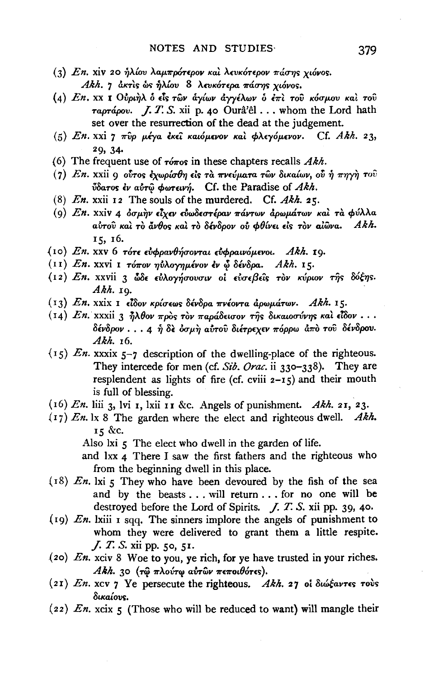- (3) Εn. xiv 20 ήλίου λαμπρότερον και λευκότερον πάσης χιόνος. Akh. 7 ακτις ως ήλίου 8 λευκότερα πάσης χιόνος.
- (4) Εn. xx 1 Ούριηλ ο είς των αγίων αγγέλων ο έπι του κόσμου και του ταρτάρου. J. T. S. xii p. 40 Ourâ'êl ... whom the Lord hath set over the resurrection of the dead at the judgement.
- $(5)$  Εn. xxi 7 πύρ μέγα έκει καιόμενον και φλεγόμενον. Cf. Akh. 23, 29, 34.
- (6) The frequent use of  $\tau$ *ó* $\tau$ *os* in these chapters recalls *Akh*.
- (7) Εn. xxii 9 ούτος έχωρίσθη είς τα πνεύματα των δικαίων, ού ή πηγή του ύδατος έν αύτω φωτεινή. Cf. the Paradise of Akh.
- (8)  $En. xxii 12$  The souls of the murdered. Cf. Akh. 25.
- (9) Επ. xxiv 4 δσμήν είχεν εύωδεστέραν πάντων άρωμάτων και τα φύλλα αύτου και το άνθος και το δένδρον ου φθίνει είς τον αίωνα. Αkh. 15, 16.
- (10) Εn. xxv 6 τότε εύφρανθήσονται εύφραινόμενοι. Akh. 19.
- (11) Εn. xxvi 1 τόπον ηύλογημένον έν φ δένδρα. Akh. 15.
- (12) Εn. xxvii 3 ώδε εύλογήσουσιν οι εύσεβείς τον κύριον της δόξης.  $Akh.$  19.
- (13) Εn. xxix 1 είδον κρίσεως δένδρα πνέοντα άρωμάτων. Akh. 15.
- (14) Επ. xxxii 3 ήλθον πρός τον παράδεισον της δικαιοσύνης και είδον... δένδρον ... 4 ή δε όσμη αύτου διέτρεχεν πόρρω από του δένδρου.  $Akh.$  16.
- $(15)$  *En.* xxxix  $5-7$  description of the dwelling-place of the righteous. They intercede for men (cf. Sib. Orac. ii 330-338). They are resplendent as lights of fire (cf. cviii  $2 - 15$ ) and their mouth is full of blessing.
- (16) En. liii 3, lvi 1, lxii 11 &c. Angels of punishment. Akh. 21, 23.
- $(\overline{17})$  En. 1x 8 The garden where the elect and righteous dwell. Akh.  $15 \&c.$

Also lxi 5 The elect who dwell in the garden of life.

and lxx 4 There I saw the first fathers and the righteous who from the beginning dwell in this place.

- $(18)$  *En.* lxi 5 They who have been devoured by the fish of the sea and by the beasts . . . will return . . . for no one will be destroyed before the Lord of Spirits.  $J. T. S. xii pp. 39, 40.$
- (19)  $En.$  lxiii 1 sqq. The sinners implore the angels of punishment to whom they were delivered to grant them a little respite.  $J. T. S. xii pp. 50, 51.$
- (20)  $En. xciv 8$  Woe to you, ye rich, for ye have trusted in your riches.  $A$ kh. 30 (τῷ πλούτω αὐτῶν πεποιθότες).
- (21) En. xcv 7 Ye persecute the righteous. Akh. 27 oi διώξαντες τους δικαίους.
- (22)  $En. xcix 5$  (Those who will be reduced to want) will mangle their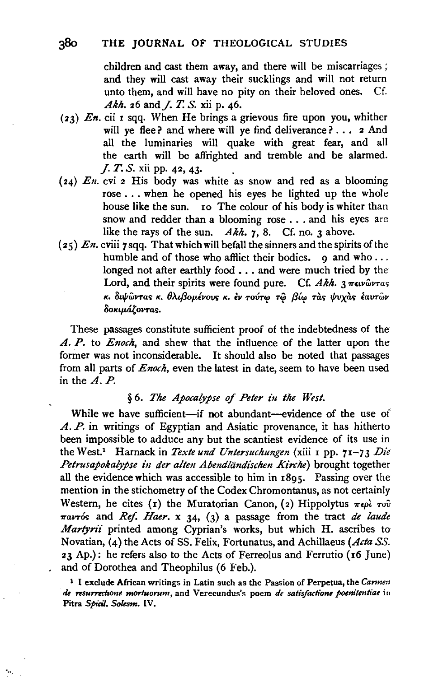#### 38o THE JOURNAL OF THEOLOGICAL STUDIES

children and cast them away, and there will be miscarriages ; and they will cast away their sucklings and will not return unto them, and will have no pity on their beloved ones. Cf. *Akh.* 26 and *J. T. S.* xii p. 46.

- (23) *En.* cii 1 sqq. When He brings a grievous fire upon you, whither will ye flee? and where will ye find deliverance? . . . 2 And all the luminaries will quake with great fear, and all the earth will be affrighted and tremble and be alarmed. *J. T. S.* xii pp. 42, 43.
- $(24)$  *En.* cvi 2 His body was white as snow and red as a blooming rose ... when he opened his eyes he lighted up the whole house like the sun. ro The colour of his body is whiter than snow and redder than a blooming rose ... and his eyes are like the rays of the sun. Akh. 7, 8. Cf. no. 3 above.
- ( 2 5) *En.* cviii 7 sqq. That which will befall the sinners and the spirits of the humble and of those who afflict their bodies.  $q$  and who ... longed not after earthly food . . . and were much tried by the Lord, and their spirits were found pure. Cf. Akh. 3  $\pi\epsilon\omega\hat{\omega}v\tau\alpha\varsigma$ *κ. διψωντας κ. θλιβομένους κ. έν τούτω τω βίω τας ψυχας έαυτων 8oKtp.a{oVTa<;.*

These passages constitute sufficient proof ot the indebtedness of the *A. P.* to *Enoch,* and shew that the influence of the latter upon the former was not inconsiderable. It should also be noted that passages from all parts of *Enoch,* even the latest in date, seem to have been used in the  $\overline{A}$ .  $\overline{P}$ .

#### §6. The Apocalypse of Peter in the West.

While we have sufficient-if not abundant-evidence of the use of A. P. in writings of Egyptian and Asiatic provenance, it has hitherto been impossible to adduce any but the scantiest evidence of its use in the West.1 Harnack in *Texte und Untersuchungen* (xiii 1 pp. 71-73 *Die Petrusapokalypse in der altm Abend!iindischen Kirche)* brought together all the evidence which was accessible to him in  $1895$ . Passing over the mention in the stichometry of the Codex Chromontanus, as not certainly Western, he cites (1) the Muratorian Canon, (2) Hippolytus  $\pi \epsilon \rho \hat{i}$   $\tau \sigma \hat{v}$  $\pi a$ vrós and *Ref. Haer.* x 34, (3) a passage from the tract *de laude Martyrii* printed among Cyprian's works, but which H. ascribes to Novatian, (4) the Acts of SS. Felix, Fortunatus, and Achillaeus *(Acta SS.*  23 Ap.): he refers also to the Acts of Ferreolus and Ferrutio (r6 June) and of Dorothea and Theophilus (6 Feb.).

<sup>1</sup> I exclude African writings in Latin such as the Passion of Perpetua, the *Carmen de resurrechone morluorum,* and Verecundus's poem *de satisfactione poenitentiae* in Pitra *Spicil. Solesm.* IV.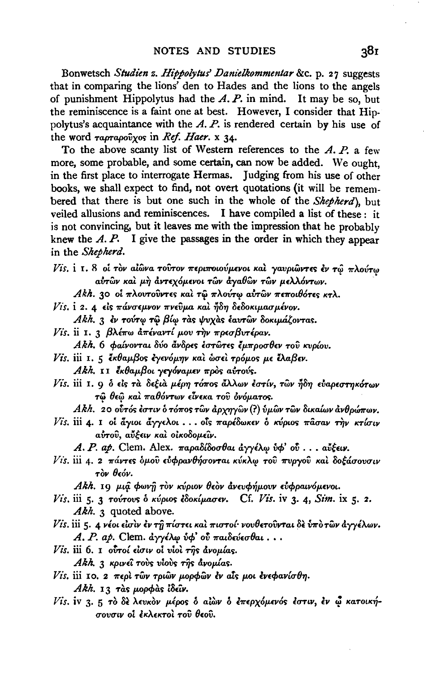Bonwetsch Studien z. Hippolytus' Danielkommentar &c. p. 27 suggests that in comparing the lions' den to Hades and the lions to the angels of punishment Hippolytus had the  $A$ .  $P$  in mind. It may be so, but the reminiscence is a faint one at best. However, I consider that Hippolytus's acquaintance with the  $A$ .  $P$ , is rendered certain by his use of the word raprapovyos in Ref. Haer. x 34.

To the above scanty list of Western references to the  $A$ .  $P$ , a few more, some probable, and some certain, can now be added. We ought. in the first place to interrogate Hermas. Judging from his use of other books, we shall expect to find, not overt quotations (it will be remembered that there is but one such in the whole of the Shepherd), but veiled allusions and reminiscences. I have compiled a list of these: it is not convincing, but it leaves me with the impression that he probably knew the  $A.P.$  I give the passages in the order in which they appear in the Shepherd.

Vis. i 1. 8 oi τον αίώνα τούτον περιποιούμενοι και γαυριώντες εν τώ πλούτω αύτων και μή άντεχόμενοι των άγαθων των μελλόντων.

Akh. 30 οι πλουτούντες και τω πλούτω αυτών πεποιθότες κτλ.

- Vis. i 2. 4 είς πάνσεμνον πνεύμα και ήδη δεδοκιμασμένον. Akh. 3 εν τούτω τω βίω τας ψυχας εαυτών δοκιμάζοντας.
- Vis. ii 1. 3 βλέπω απέναντί μου την πρεσβυτέραν. Akh. 6 φαίνονται δύο άνδρες έστωτες έμπροσθεν του κυρίου.
- Vis. iii 1. 5 έκθαμβος έγενόμην και ώσει τρόμος με έλαβεν. Akh. 11 έκθαμβοι γεγόναμεν πρός αύτούς.
- Vis. iii 1. 9 δ είς τα δεξια μέρη τόπος άλλων εστίν, των ήδη εύαρεστηκότων τώ θεώ και παθόντων είνεκα του ονόματος.

 $Akh$ , 20 ούτός έστιν ο τόπος τῶν ἀρχηγῶν (?) ύμῶν τῶν δικαίων ἀνθρώπων.

- Vis. iii 4. 1 οι άγιοι άγγελοι... οις παρέδωκεν δ κύριος πασαν την κτίσιν αύτου, αύξειν και οικοδομείν.
	- A. P. ap. Clem. Alex. παραδίδοσθαι άγγέλω υφ' ου... αυξειν.
- Vis. iii 4. 2 πάντες δμού εύφρανθήσονται κύκλω του πυργού και δοξάσουσιν τὸν θεόν.

Akh. 19 μια φωνή τον κύριον θεον ανευφήμουν ευφραινόμενοι.

- Vis. iii 5. 3 τούτους δ κύριος έδοκίμασεν. Cf. Vis. iv 3. 4, Sim. ix 5. 2. Akh. 3 quoted above.
- Vis. iii 5. 4 νέοι είσὶν εν τῆ πίστει καὶ πιστοί· νουθετοῦνται δὲ ὑπὸ τῶν ἀγγέλων.  $A. P.$  ap. Clem. αγγέλω υφ' ου παιδεύεσθαι...
- Vis. iii 6. 1 obroí clouv ol vlol r $\hat{\eta}$ s avo $\mu$ ías.  $Akh$ , 3 κρινεί τους υίους της άνομίας.
- Vis. iii 10. 2  $\pi\epsilon\rho$ i των τριών μορφών έν αίς μοι ένεφανίσθη. Akh. 13 τας μορφας ίδεϊν.
- Vis. iv 3. 5 τὸ δὲ λευκὸν μέρος ὁ alὼν ὁ ἐπερχόμενός ἐστιν, ἐν ῷ κατοικήσουσιν οι εκλεκτοί του θεου.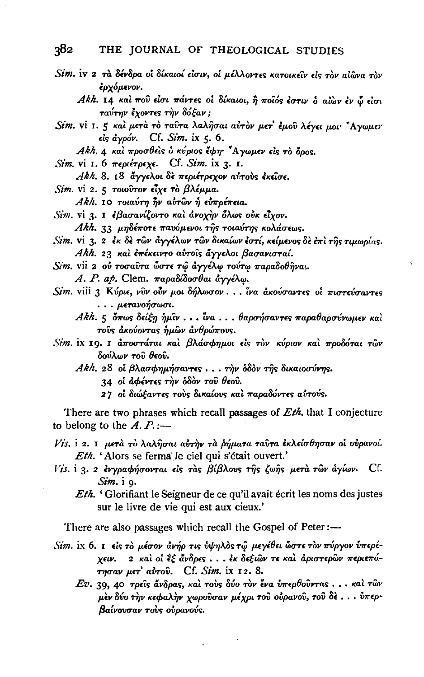#### $38z$ THE JOURNAL OF THEOLOGICAL STUDIES

Sim. iv 2 τα δένδρα οι δίκαιοί είσιν, οι μέλλοντες κατοικείν είς τον αίωνα τον έρχόμενον.

Akh. 14 και που είσι πάντες οι δίκαιοι, ή ποιός έστιν ο αιών έν ώ είσι ταύτην έχοντες την δόξαν;

Sim. vi 1. 5 και μετά το ταύτα λαλήσαι αύτον μετ' έμου λέγει μοι· 'Αγωμεν είς άγρόν. Cf. Sim. ix 5. 6.

Akh. 4 και προσθείς ο κύριος έφη "Αγωμεν είς το όρος.

- $Sim.$  vi 1. 6  $\pi \epsilon \rho \epsilon \gamma \epsilon$ . Cf. Sim. ix 3. 1.
	- Akh. 8. 18 άγγελοι δε περιέτρεχον αύτους έκεισε.
- Sim. vi 2. 5 τοιούτον είχε το βλέμμα.
	- Akh. το τοιαύτη ήν αυτών ή ευπρέπεια.
- Sim. vi 3. 1 εβασανίζοντο και άνοχην όλως ούκ είχον.
	- Akh. 33 μηδέποτε πανόμενοι της τοιαύτης κολάσεως.
- Sim. vi 3. 2 έκ δε των άγγέλων των δικαίων έστί, κείμενος δε έπι της τιμωρίας. Akh. 23 και έπέκειντο αύτοις άγγελοι βασανισταί.
- Sim. vii 2 ού τοσαύτα ώστε τώ άγγέλω τούτω παραδοθήναι.

A. P. ap. Clem. παραδίδοσθαι άγγέλω.

Sim. viii 3 Κύριε, νύν ούν μοι δήλωσον... ίνα ακούσαντες οι πιστεύσαντες . . . μετανοήσωσι.

Akh. 5  $\delta$ πως δείξη ήμῖν . . . ἶνα . . . θαρσήσαντες παραθαρσύνωμεν καὶ τούς άκούοντας ήμων ανθρώπους.

k.

- Sim. ix 19. I αποστάται και βλάσφημοι είς τον κύριον και προδόται των δούλων τοῦ θεοῦ.
	- Akh. 28 οι βλασφημήσαντες... την όδον της δικαιοσύνης.
		- 34 οι άφέντες την όδον του θεου.
		- 27 οι διώξαντες τους δικαίους και παραδόντες αυτούς.

There are two phrases which recall passages of  $Eth$ , that I conjecture to belong to the A. P. :-

- Vis. i 2. I μετά το λαλησαι αύτην τα βήματα ταύτα εκλείσθησαν οι ούρανοί. Eth. 'Alors se ferma' le ciel qui s'était ouvert.'
- Vis. i 3. 2 ενγραφήσονται είς τας βίβλους της ζωής μετα των άγίων. Cf.  $Sim.$  i  $\alpha$ .
	- Eth. 'Glorifiant le Seigneur de ce qu'il avait écrit les noms des justes sur le livre de vie qui est aux cieux.'

There are also passages which recall the Gospel of Peter :—

Sim. ix 6. 1 είς το μέσον άνήρ τις ύψηλος τω μεγέθει ώστε τον πύργον υπερέχειν. 2 και οι ές άνδρες... εκ δεξιών τε και άριστερών περιεπάτησαν μετ' αύτου. Cf. Sim. ix 12. 8.

 $Ev.$  39, 40 τρείς άνδρας, και τους δύο τον ένα υπερθούντας... και τών μεν δύο την κεφαλήν χωρούσαν μέχρι του ούρανου, του δε... υπερβαίνουσαν τους ουρανούς.